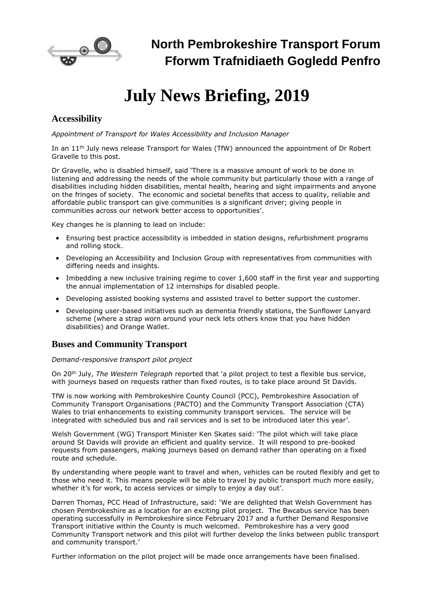

# **July News Briefing, 2019**

## **Accessibility**

*Appointment of Transport for Wales Accessibility and Inclusion Manager*

In an 11th July news release Transport for Wales (TfW) announced the appointment of Dr Robert Gravelle to this post.

Dr Gravelle, who is disabled himself, said 'There is a massive amount of work to be done in listening and addressing the needs of the whole community but particularly those with a range of disabilities including hidden disabilities, mental health, hearing and sight impairments and anyone on the fringes of society. The economic and societal benefits that access to quality, reliable and affordable public transport can give communities is a significant driver; giving people in communities across our network better access to opportunities'.

Key changes he is planning to lead on include:

- Ensuring best practice accessibility is imbedded in station designs, refurbishment programs and rolling stock.
- Developing an Accessibility and Inclusion Group with representatives from communities with differing needs and insights.
- Imbedding a new inclusive training regime to cover 1,600 staff in the first year and supporting the annual implementation of 12 internships for disabled people.
- Developing assisted booking systems and assisted travel to better support the customer.
- Developing user-based initiatives such as dementia friendly stations, the Sunflower Lanyard scheme (where a strap worn around your neck lets others know that you have hidden disabilities) and Orange Wallet.

## **Buses and Community Transport**

### *Demand-responsive transport pilot project*

On 20th July, *The Western Telegraph* reported that 'a pilot project to test a flexible bus service, with journeys based on requests rather than fixed routes, is to take place around [St Davids.](https://www.westerntelegraph.co.uk/search/?search=St+Davids%3B+St+David%27s+Cathedral%3B+Ysgol+Dewi+Sant&topic_id=8403)

TfW is now working with Pembrokeshire County Council (PCC), Pembrokeshire Association of Community Transport Organisations (PACTO) and the Community Transport Association (CTA) Wales to trial enhancements to existing community transport services. The service will be integrated with scheduled bus and rail services and is set to be introduced later this year'.

Welsh Government (WG) Transport Minister Ken Skates said: 'The pilot which will take place around St Davids will provide an efficient and quality service. It will respond to pre-booked requests from passengers, making journeys based on demand rather than operating on a fixed route and schedule.

By understanding where people want to travel and when, vehicles can be routed flexibly and get to those who need it. This means people will be able to travel by public transport much more easily, whether it's for work, to access services or simply to enjoy a day out'.

Darren Thomas, PCC Head of Infrastructure, said: 'We are delighted that Welsh Government has chosen Pembrokeshire as a location for an exciting pilot project. The Bwcabus service has been operating successfully in Pembrokeshire since February 2017 and a further Demand Responsive Transport initiative within the County is much welcomed. Pembrokeshire has a very good Community Transport network and this pilot will further develop the links between public transport and community transport.'

Further information on the pilot project will be made once arrangements have been finalised.